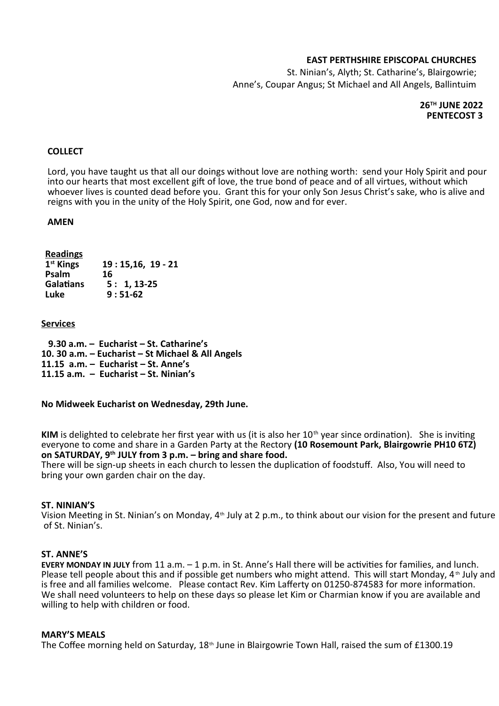## **EAST PERTHSHIRE EPISCOPAL CHURCHES**

St. Ninian's, Alyth; St. Catharine's, Blairgowrie; Anne's, Coupar Angus; St Michael and All Angels, Ballintuim

## **26TH JUNE 2022 PENTECOST 3**

## **COLLECT**

Lord, you have taught us that all our doings without love are nothing worth: send your Holy Spirit and pour into our hearts that most excellent gift of love, the true bond of peace and of all virtues, without which whoever lives is counted dead before you. Grant this for your only Son Jesus Christ's sake, who is alive and reigns with you in the unity of the Holy Spirit, one God, now and for ever.

### **AMEN**

| <b>Readings</b>       |                   |
|-----------------------|-------------------|
| 1 <sup>st</sup> Kings | $19:15,16, 19-21$ |
| Psalm                 | 16                |
| <b>Galatians</b>      | $5: 1, 13-25$     |
| Luke                  | $9:51-62$         |

### **Services**

 **9.30 a.m. – Eucharist – St. Catharine's 10. 30 a.m. – Eucharist – St Michael & All Angels 11.15 a.m. – Eucharist – St. Anne's 11.15 a.m. – Eucharist – St. Ninian's**

**No Midweek Eucharist on Wednesday, 29th June.**

**KIM** is delighted to celebrate her first year with us (it is also her 10<sup>th</sup> year since ordination). She is inviting everyone to come and share in a Garden Party at the Rectory **(10 Rosemount Park, Blairgowrie PH10 6TZ) on SATURDAY, 9th JULY from 3 p.m. – bring and share food.**

There will be sign-up sheets in each church to lessen the duplication of foodstuff. Also, You will need to bring your own garden chair on the day.

### **ST. NINIAN'S**

Vision Meeting in St. Ninian's on Monday, 4<sup>th</sup> July at 2 p.m., to think about our vision for the present and future of St. Ninian's.

### **ST. ANNE'S**

**EVERY MONDAY IN JULY** from 11 a.m. – 1 p.m. in St. Anne's Hall there will be activities for families, and lunch. Please tell people about this and if possible get numbers who might attend. This will start Monday, 4<sup>th</sup> July and is free and all families welcome. Please contact Rev. Kim Lafferty on 01250-874583 for more information. We shall need volunteers to help on these days so please let Kim or Charmian know if you are available and willing to help with children or food.

### **MARY'S MEALS**

The Coffee morning held on Saturday,  $18<sup>th</sup>$  June in Blairgowrie Town Hall, raised the sum of £1300.19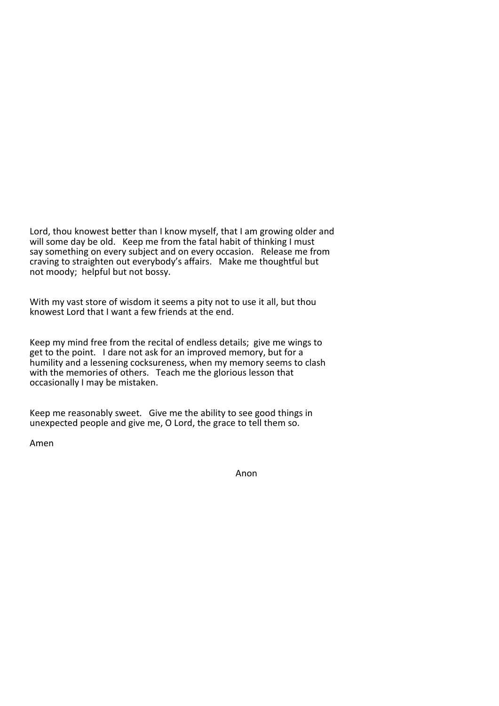Lord, thou knowest better than I know myself, that I am growing older and will some day be old. Keep me from the fatal habit of thinking I must say something on every subject and on every occasion. Release me from craving to straighten out everybody's affairs. Make me thoughtful but not moody; helpful but not bossy.

With my vast store of wisdom it seems a pity not to use it all, but thou knowest Lord that I want a few friends at the end.

Keep my mind free from the recital of endless details; give me wings to get to the point. I dare not ask for an improved memory, but for a humility and a lessening cocksureness, when my memory seems to clash with the memories of others. Teach me the glorious lesson that occasionally I may be mistaken.

Keep me reasonably sweet. Give me the ability to see good things in unexpected people and give me, O Lord, the grace to tell them so.

Amen

Anon